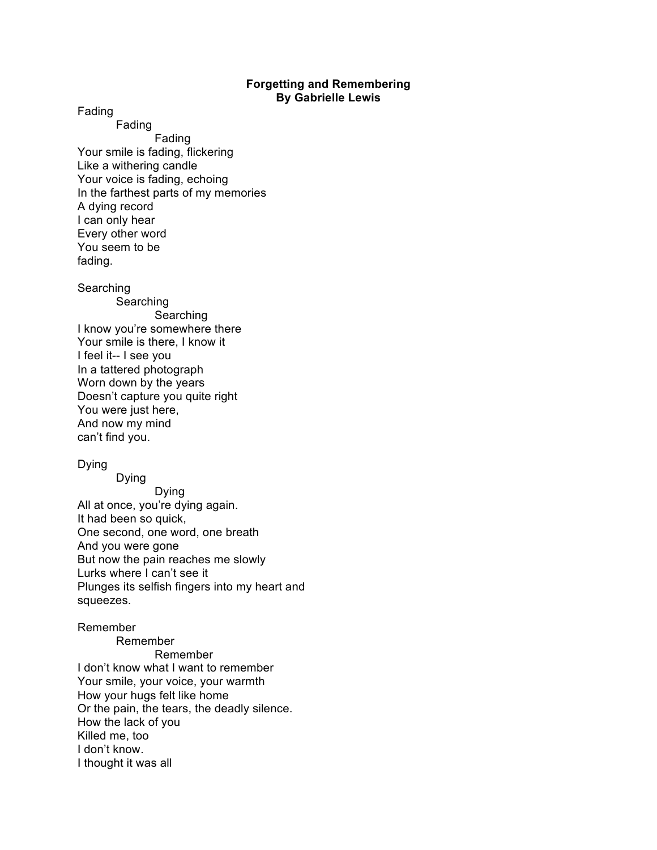## **Forgetting and Remembering By Gabrielle Lewis**

Fading

Fading Fading Your smile is fading, flickering Like a withering candle Your voice is fading, echoing In the farthest parts of my memories A dying record I can only hear Every other word You seem to be fading.

Searching

Searching **Searching** I know you're somewhere there Your smile is there, I know it I feel it-- I see you In a tattered photograph Worn down by the years Doesn't capture you quite right You were just here, And now my mind can't find you.

## Dying

Dying Dying All at once, you're dying again. It had been so quick, One second, one word, one breath And you were gone But now the pain reaches me slowly Lurks where I can't see it Plunges its selfish fingers into my heart and squeezes.

## Remember

Remember Remember I don't know what I want to remember Your smile, your voice, your warmth How your hugs felt like home Or the pain, the tears, the deadly silence. How the lack of you Killed me, too I don't know. I thought it was all